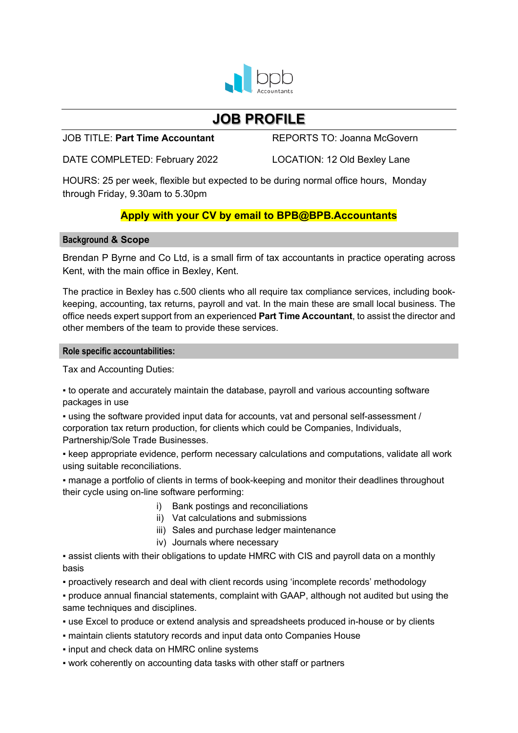

# **JOB PROFILE**

## JOB TITLE: **Part Time Accountant** REPORTS TO: Joanna McGovern

DATE COMPLETED: February 2022 LOCATION: 12 Old Bexley Lane

HOURS: 25 per week, flexible but expected to be during normal office hours, Monday through Friday, 9.30am to 5.30pm

# **Apply with your CV by email to BPB@BPB.Accountants**

# **Background & Scope**

Brendan P Byrne and Co Ltd, is a small firm of tax accountants in practice operating across Kent, with the main office in Bexley, Kent.

The practice in Bexley has c.500 clients who all require tax compliance services, including bookkeeping, accounting, tax returns, payroll and vat. In the main these are small local business. The office needs expert support from an experienced **Part Time Accountant**, to assist the director and other members of the team to provide these services.

### **Role specific accountabilities:**

Tax and Accounting Duties:

▪ to operate and accurately maintain the database, payroll and various accounting software packages in use

▪ using the software provided input data for accounts, vat and personal self-assessment / corporation tax return production, for clients which could be Companies, Individuals, Partnership/Sole Trade Businesses.

▪ keep appropriate evidence, perform necessary calculations and computations, validate all work using suitable reconciliations.

• manage a portfolio of clients in terms of book-keeping and monitor their deadlines throughout their cycle using on-line software performing:

- i) Bank postings and reconciliations
- ii) Vat calculations and submissions
- iii) Sales and purchase ledger maintenance
- iv) Journals where necessary

• assist clients with their obligations to update HMRC with CIS and payroll data on a monthly basis

▪ proactively research and deal with client records using 'incomplete records' methodology

- produce annual financial statements, complaint with GAAP, although not audited but using the same techniques and disciplines.
- use Excel to produce or extend analysis and spreadsheets produced in-house or by clients
- maintain clients statutory records and input data onto Companies House
- input and check data on HMRC online systems
- work coherently on accounting data tasks with other staff or partners